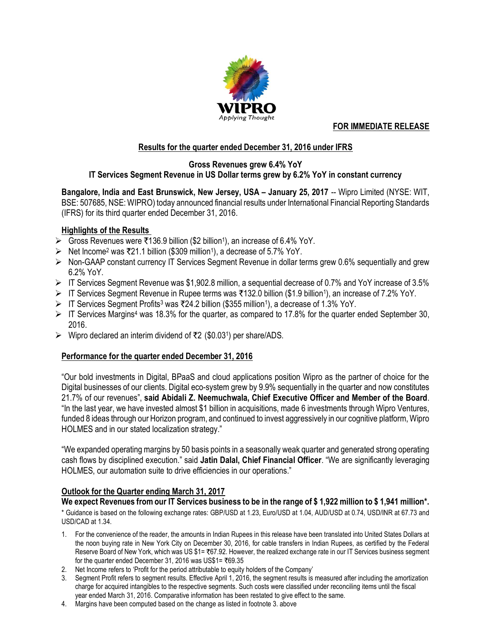

# FOR IMMEDIATE RELEASE

# Results for the quarter ended December 31, 2016 under IFRS

## Gross Revenues grew 6.4% YoY IT Services Segment Revenue in US Dollar terms grew by 6.2% YoY in constant currency

Bangalore, India and East Brunswick, New Jersey, USA – January 25, 2017 -- Wipro Limited (NYSE: WIT, BSE: 507685, NSE: WIPRO) today announced financial results under International Financial Reporting Standards (IFRS) for its third quarter ended December 31, 2016.

## Highlights of the Results

- Sross Revenues were  $\overline{\xi}$ 136.9 billion (\$2 billion<sup>1</sup>), an increase of 6.4% YoY.
- > Net Income<sup>2</sup> was ₹21.1 billion (\$309 million<sup>1</sup>), a decrease of 5.7% YoY.
- $\triangleright$  Non-GAAP constant currency IT Services Segment Revenue in dollar terms grew 0.6% sequentially and grew 6.2% YoY.
- $\triangleright$  IT Services Segment Revenue was \$1,902.8 million, a sequential decrease of 0.7% and YoY increase of 3.5%
- $\triangleright$  IT Services Segment Revenue in Rupee terms was ₹132.0 billion (\$1.9 billion<sup>1</sup>), an increase of 7.2% YoY.
- $\triangleright$  IT Services Segment Profits<sup>3</sup> was ₹24.2 billion (\$355 million<sup>1</sup>), a decrease of 1.3% YoY.
- $\triangleright$  IT Services Margins<sup>4</sup> was 18.3% for the quarter, as compared to 17.8% for the quarter ended September 30, 2016.
- $\triangleright$  Wipro declared an interim dividend of ₹2 (\$0.03<sup>1</sup>) per share/ADS.

## Performance for the quarter ended December 31, 2016

"Our bold investments in Digital, BPaaS and cloud applications position Wipro as the partner of choice for the Digital businesses of our clients. Digital eco-system grew by 9.9% sequentially in the quarter and now constitutes 21.7% of our revenues", said Abidali Z. Neemuchwala, Chief Executive Officer and Member of the Board. "In the last year, we have invested almost \$1 billion in acquisitions, made 6 investments through Wipro Ventures, funded 8 ideas through our Horizon program, and continued to invest aggressively in our cognitive platform, Wipro HOLMES and in our stated localization strategy."

"We expanded operating margins by 50 basis points in a seasonally weak quarter and generated strong operating cash flows by disciplined execution." said Jatin Dalal, Chief Financial Officer. "We are significantly leveraging HOLMES, our automation suite to drive efficiencies in our operations."

## Outlook for the Quarter ending March 31, 2017

### We expect Revenues from our IT Services business to be in the range of \$1,922 million to \$1,941 million\*.

\* Guidance is based on the following exchange rates: GBP/USD at 1.23, Euro/USD at 1.04, AUD/USD at 0.74, USD/INR at 67.73 and USD/CAD at 1.34.

- 1. For the convenience of the reader, the amounts in Indian Rupees in this release have been translated into United States Dollars at the noon buying rate in New York City on December 30, 2016, for cable transfers in Indian Rupees, as certified by the Federal Reserve Board of New York, which was US \$1= ₹67.92. However, the realized exchange rate in our IT Services business segment for the quarter ended December 31, 2016 was US\$1=  $\overline{69.35}$
- 2. Net Income refers to 'Profit for the period attributable to equity holders of the Company'
- 3. Segment Profit refers to segment results. Effective April 1, 2016, the segment results is measured after including the amortization charge for acquired intangibles to the respective segments. Such costs were classified under reconciling items until the fiscal year ended March 31, 2016. Comparative information has been restated to give effect to the same.
- 4. Margins have been computed based on the change as listed in footnote 3. above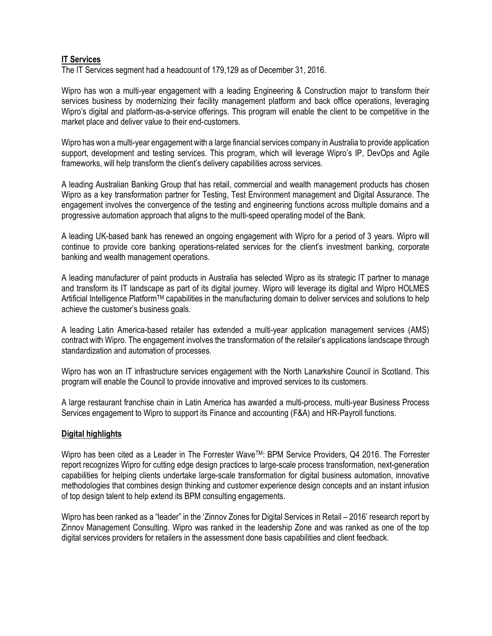## IT Services

The IT Services segment had a headcount of 179,129 as of December 31, 2016.

Wipro has won a multi-year engagement with a leading Engineering & Construction major to transform their services business by modernizing their facility management platform and back office operations, leveraging Wipro's digital and platform-as-a-service offerings. This program will enable the client to be competitive in the market place and deliver value to their end-customers.

Wipro has won a multi-year engagement with a large financial services company in Australia to provide application support, development and testing services. This program, which will leverage Wipro's IP, DevOps and Agile frameworks, will help transform the client's delivery capabilities across services.

A leading Australian Banking Group that has retail, commercial and wealth management products has chosen Wipro as a key transformation partner for Testing, Test Environment management and Digital Assurance. The engagement involves the convergence of the testing and engineering functions across multiple domains and a progressive automation approach that aligns to the multi-speed operating model of the Bank.

A leading UK-based bank has renewed an ongoing engagement with Wipro for a period of 3 years. Wipro will continue to provide core banking operations-related services for the client's investment banking, corporate banking and wealth management operations.

A leading manufacturer of paint products in Australia has selected Wipro as its strategic IT partner to manage and transform its IT landscape as part of its digital journey. Wipro will leverage its digital and Wipro HOLMES Artificial Intelligence Platform™ capabilities in the manufacturing domain to deliver services and solutions to help achieve the customer's business goals.

A leading Latin America-based retailer has extended a multi-year application management services (AMS) contract with Wipro. The engagement involves the transformation of the retailer's applications landscape through standardization and automation of processes.

Wipro has won an IT infrastructure services engagement with the North Lanarkshire Council in Scotland. This program will enable the Council to provide innovative and improved services to its customers.

A large restaurant franchise chain in Latin America has awarded a multi-process, multi-year Business Process Services engagement to Wipro to support its Finance and accounting (F&A) and HR-Payroll functions.

## Digital highlights

Wipro has been cited as a Leader in The Forrester Wave™: BPM Service Providers, Q4 2016. The Forrester report recognizes Wipro for cutting edge design practices to large-scale process transformation, next-generation capabilities for helping clients undertake large-scale transformation for digital business automation, innovative methodologies that combines design thinking and customer experience design concepts and an instant infusion of top design talent to help extend its BPM consulting engagements.

Wipro has been ranked as a "leader" in the 'Zinnov Zones for Digital Services in Retail – 2016' research report by Zinnov Management Consulting. Wipro was ranked in the leadership Zone and was ranked as one of the top digital services providers for retailers in the assessment done basis capabilities and client feedback.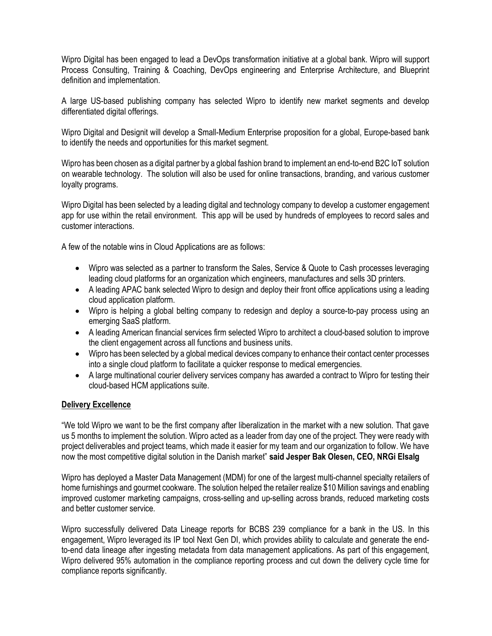Wipro Digital has been engaged to lead a DevOps transformation initiative at a global bank. Wipro will support Process Consulting, Training & Coaching, DevOps engineering and Enterprise Architecture, and Blueprint definition and implementation.

A large US-based publishing company has selected Wipro to identify new market segments and develop differentiated digital offerings.

Wipro Digital and Designit will develop a Small-Medium Enterprise proposition for a global, Europe-based bank to identify the needs and opportunities for this market segment.

Wipro has been chosen as a digital partner by a global fashion brand to implement an end-to-end B2C IoT solution on wearable technology. The solution will also be used for online transactions, branding, and various customer loyalty programs.

Wipro Digital has been selected by a leading digital and technology company to develop a customer engagement app for use within the retail environment. This app will be used by hundreds of employees to record sales and customer interactions.

A few of the notable wins in Cloud Applications are as follows:

- Wipro was selected as a partner to transform the Sales, Service & Quote to Cash processes leveraging leading cloud platforms for an organization which engineers, manufactures and sells 3D printers.
- A leading APAC bank selected Wipro to design and deploy their front office applications using a leading cloud application platform.
- Wipro is helping a global belting company to redesign and deploy a source-to-pay process using an emerging SaaS platform.
- A leading American financial services firm selected Wipro to architect a cloud-based solution to improve the client engagement across all functions and business units.
- Wipro has been selected by a global medical devices company to enhance their contact center processes into a single cloud platform to facilitate a quicker response to medical emergencies.
- A large multinational courier delivery services company has awarded a contract to Wipro for testing their cloud-based HCM applications suite.

### Delivery Excellence

"We told Wipro we want to be the first company after liberalization in the market with a new solution. That gave us 5 months to implement the solution. Wipro acted as a leader from day one of the project. They were ready with project deliverables and project teams, which made it easier for my team and our organization to follow. We have now the most competitive digital solution in the Danish market" said Jesper Bak Olesen, CEO, NRGi Elsalg

Wipro has deployed a Master Data Management (MDM) for one of the largest multi-channel specialty retailers of home furnishings and gourmet cookware. The solution helped the retailer realize \$10 Million savings and enabling improved customer marketing campaigns, cross-selling and up-selling across brands, reduced marketing costs and better customer service.

Wipro successfully delivered Data Lineage reports for BCBS 239 compliance for a bank in the US. In this engagement, Wipro leveraged its IP tool Next Gen DI, which provides ability to calculate and generate the endto-end data lineage after ingesting metadata from data management applications. As part of this engagement, Wipro delivered 95% automation in the compliance reporting process and cut down the delivery cycle time for compliance reports significantly.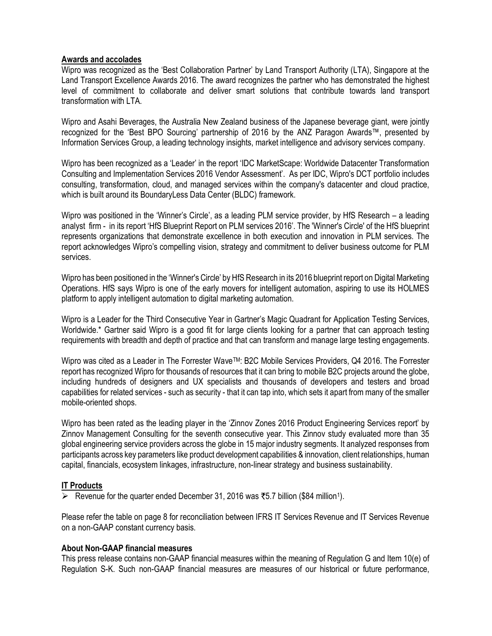### Awards and accolades

Wipro was recognized as the 'Best Collaboration Partner' by Land Transport Authority (LTA), Singapore at the Land Transport Excellence Awards 2016. The award recognizes the partner who has demonstrated the highest level of commitment to collaborate and deliver smart solutions that contribute towards land transport transformation with LTA.

Wipro and Asahi Beverages, the Australia New Zealand business of the Japanese beverage giant, were jointly recognized for the 'Best BPO Sourcing' partnership of 2016 by the ANZ Paragon Awards™, presented by Information Services Group, a leading technology insights, market intelligence and advisory services company.

Wipro has been recognized as a 'Leader' in the report 'IDC MarketScape: Worldwide Datacenter Transformation Consulting and Implementation Services 2016 Vendor Assessment'. As per IDC, Wipro's DCT portfolio includes consulting, transformation, cloud, and managed services within the company's datacenter and cloud practice, which is built around its BoundaryLess Data Center (BLDC) framework.

Wipro was positioned in the 'Winner's Circle', as a leading PLM service provider, by HfS Research – a leading analyst firm - in its report 'HfS Blueprint Report on PLM services 2016'. The 'Winner's Circle' of the HfS blueprint represents organizations that demonstrate excellence in both execution and innovation in PLM services. The report acknowledges Wipro's compelling vision, strategy and commitment to deliver business outcome for PLM services.

Wipro has been positioned in the 'Winner's Circle' by HfS Research in its 2016 blueprint report on Digital Marketing Operations. HfS says Wipro is one of the early movers for intelligent automation, aspiring to use its HOLMES platform to apply intelligent automation to digital marketing automation.

Wipro is a Leader for the Third Consecutive Year in Gartner's Magic Quadrant for Application Testing Services, Worldwide.\* Gartner said Wipro is a good fit for large clients looking for a partner that can approach testing requirements with breadth and depth of practice and that can transform and manage large testing engagements.

Wipro was cited as a Leader in The Forrester Wave™: B2C Mobile Services Providers, Q4 2016. The Forrester report has recognized Wipro for thousands of resources that it can bring to mobile B2C projects around the globe, including hundreds of designers and UX specialists and thousands of developers and testers and broad capabilities for related services - such as security - that it can tap into, which sets it apart from many of the smaller mobile-oriented shops.

Wipro has been rated as the leading player in the 'Zinnov Zones 2016 Product Engineering Services report' by Zinnov Management Consulting for the seventh consecutive year. This Zinnov study evaluated more than 35 global engineering service providers across the globe in 15 major industry segments. It analyzed responses from participants across key parameters like product development capabilities & innovation, client relationships, human capital, financials, ecosystem linkages, infrastructure, non-linear strategy and business sustainability.

## IT Products

> Revenue for the quarter ended December 31, 2016 was ₹5.7 billion (\$84 million<sup>1</sup>).

Please refer the table on page 8 for reconciliation between IFRS IT Services Revenue and IT Services Revenue on a non-GAAP constant currency basis.

## About Non-GAAP financial measures

This press release contains non-GAAP financial measures within the meaning of Regulation G and Item 10(e) of Regulation S-K. Such non-GAAP financial measures are measures of our historical or future performance,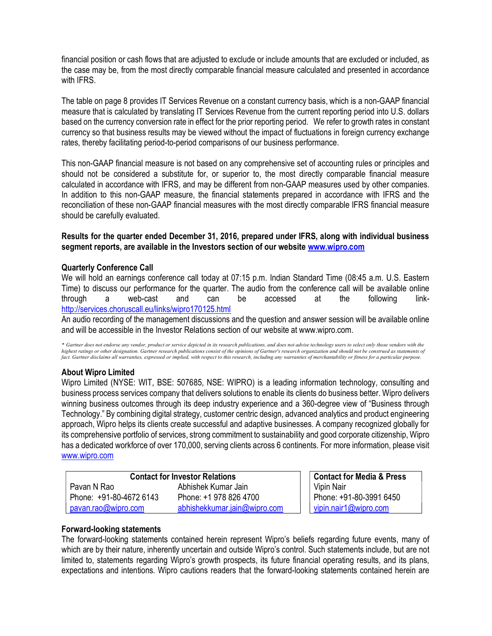financial position or cash flows that are adjusted to exclude or include amounts that are excluded or included, as the case may be, from the most directly comparable financial measure calculated and presented in accordance with IFRS.

The table on page 8 provides IT Services Revenue on a constant currency basis, which is a non-GAAP financial measure that is calculated by translating IT Services Revenue from the current reporting period into U.S. dollars based on the currency conversion rate in effect for the prior reporting period. We refer to growth rates in constant currency so that business results may be viewed without the impact of fluctuations in foreign currency exchange rates, thereby facilitating period-to-period comparisons of our business performance.

This non-GAAP financial measure is not based on any comprehensive set of accounting rules or principles and should not be considered a substitute for, or superior to, the most directly comparable financial measure calculated in accordance with IFRS, and may be different from non-GAAP measures used by other companies. In addition to this non-GAAP measure, the financial statements prepared in accordance with IFRS and the reconciliation of these non-GAAP financial measures with the most directly comparable IFRS financial measure should be carefully evaluated.

## Results for the quarter ended December 31, 2016, prepared under IFRS, along with individual business segment reports, are available in the Investors section of our website www.wipro.com

### Quarterly Conference Call

We will hold an earnings conference call today at 07:15 p.m. Indian Standard Time (08:45 a.m. U.S. Eastern Time) to discuss our performance for the quarter. The audio from the conference call will be available online through a web-cast and can be accessed at the following linkhttp://services.choruscall.eu/links/wipro170125.html

An audio recording of the management discussions and the question and answer session will be available online and will be accessible in the Investor Relations section of our website at www.wipro.com.

\* Gartner does not endorse any vendor, product or service depicted in its research publications, and does not advise technology users to select only those vendors with the highest ratings or other designation. Gartner research publications consist of the opinions of Gartner's research organization and should not be construed as statements of fact. Gartner disclaims all warranties, expressed or implied, with respect to this research, including any warranties of merchantability or fitness for a particular purpose.

### About Wipro Limited

Wipro Limited (NYSE: WIT, BSE: 507685, NSE: WIPRO) is a leading information technology, consulting and business process services company that delivers solutions to enable its clients do business better. Wipro delivers winning business outcomes through its deep industry experience and a 360-degree view of "Business through Technology." By combining digital strategy, customer centric design, advanced analytics and product engineering approach, Wipro helps its clients create successful and adaptive businesses. A company recognized globally for its comprehensive portfolio of services, strong commitment to sustainability and good corporate citizenship, Wipro has a dedicated workforce of over 170,000, serving clients across 6 continents. For more information, please visit www.wipro.com

| <b>Contact for Investor Relations</b> |                              |  |  |  |  |
|---------------------------------------|------------------------------|--|--|--|--|
| Payan N Rao                           | Abhishek Kumar Jain          |  |  |  |  |
| Phone: +91-80-4672 6143               | Phone: +1 978 826 4700       |  |  |  |  |
| pavan.rao@wipro.com                   | abhishekkumar.jain@wipro.com |  |  |  |  |

Contact for Media & Press Vipin Nair Phone: +91-80-3991 6450 vipin.nair1@wipro.com

### Forward-looking statements

The forward-looking statements contained herein represent Wipro's beliefs regarding future events, many of which are by their nature, inherently uncertain and outside Wipro's control. Such statements include, but are not limited to, statements regarding Wipro's growth prospects, its future financial operating results, and its plans, expectations and intentions. Wipro cautions readers that the forward-looking statements contained herein are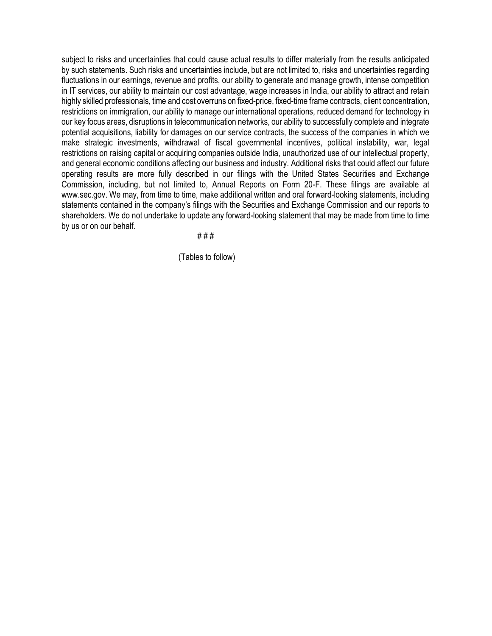subject to risks and uncertainties that could cause actual results to differ materially from the results anticipated by such statements. Such risks and uncertainties include, but are not limited to, risks and uncertainties regarding fluctuations in our earnings, revenue and profits, our ability to generate and manage growth, intense competition in IT services, our ability to maintain our cost advantage, wage increases in India, our ability to attract and retain highly skilled professionals, time and cost overruns on fixed-price, fixed-time frame contracts, client concentration, restrictions on immigration, our ability to manage our international operations, reduced demand for technology in our key focus areas, disruptions in telecommunication networks, our ability to successfully complete and integrate potential acquisitions, liability for damages on our service contracts, the success of the companies in which we make strategic investments, withdrawal of fiscal governmental incentives, political instability, war, legal restrictions on raising capital or acquiring companies outside India, unauthorized use of our intellectual property, and general economic conditions affecting our business and industry. Additional risks that could affect our future operating results are more fully described in our filings with the United States Securities and Exchange Commission, including, but not limited to, Annual Reports on Form 20-F. These filings are available at www.sec.gov. We may, from time to time, make additional written and oral forward-looking statements, including statements contained in the company's filings with the Securities and Exchange Commission and our reports to shareholders. We do not undertake to update any forward-looking statement that may be made from time to time by us or on our behalf.

# # #

(Tables to follow)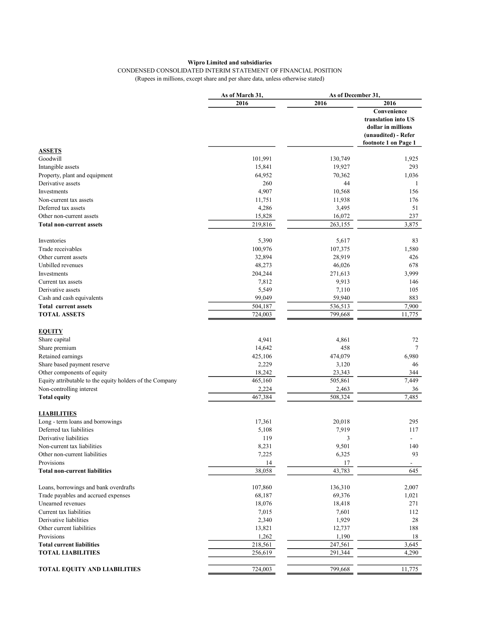#### Wipro Limited and subsidiaries

#### CONDENSED CONSOLIDATED INTERIM STATEMENT OF FINANCIAL POSITION

(Rupees in millions, except share and per share data, unless otherwise stated)

|                                                              | As of March 31,   | As of December 31, |                      |  |
|--------------------------------------------------------------|-------------------|--------------------|----------------------|--|
|                                                              | 2016              | 2016               | 2016                 |  |
|                                                              |                   |                    | Convenience          |  |
|                                                              |                   |                    | translation into US  |  |
|                                                              |                   |                    | dollar in millions   |  |
|                                                              |                   |                    | (unaudited) - Refer  |  |
|                                                              |                   |                    | footnote 1 on Page 1 |  |
| <b>ASSETS</b>                                                | 101,991           |                    |                      |  |
| Goodwill                                                     |                   | 130,749            | 1,925                |  |
| Intangible assets                                            | 15,841            | 19,927             | 293                  |  |
| Property, plant and equipment<br>Derivative assets           | 64,952            | 70,362             | 1,036                |  |
| Investments                                                  | 260<br>4,907      | 44<br>10,568       | -1<br>156            |  |
| Non-current tax assets                                       | 11,751            | 11,938             | 176                  |  |
| Deferred tax assets                                          | 4,286             | 3,495              | 51                   |  |
| Other non-current assets                                     |                   | 16,072             | 237                  |  |
| <b>Total non-current assets</b>                              | 15,828<br>219,816 | 263,155            | 3,875                |  |
|                                                              |                   |                    |                      |  |
| Inventories                                                  | 5,390             | 5,617              | 83                   |  |
| Trade receivables                                            | 100,976           | 107,375            | 1,580                |  |
| Other current assets                                         | 32,894            | 28,919             | 426                  |  |
| Unbilled revenues                                            | 48,273            | 46,026             | 678                  |  |
| Investments                                                  | 204,244           | 271,613            | 3,999                |  |
| Current tax assets                                           | 7,812             | 9,913              | 146                  |  |
| Derivative assets                                            | 5,549             | 7,110              | 105                  |  |
| Cash and cash equivalents                                    | 99,049            | 59,940             | 883                  |  |
| Total current assets                                         | 504,187           | 536,513            | 7,900                |  |
| <b>TOTAL ASSETS</b>                                          | 724,003           | 799,668            | 11,775               |  |
| <b>EQUITY</b>                                                |                   |                    |                      |  |
| Share capital                                                | 4,941             | 4,861              | 72                   |  |
| Share premium                                                | 14,642            | 458                |                      |  |
| Retained earnings                                            | 425,106           | 474,079            | 6,980                |  |
| Share based payment reserve                                  | 2,229             | 3,120              | 46                   |  |
| Other components of equity                                   | 18,242            | 23,343             | 344                  |  |
| Equity attributable to the equity holders of the Company     | 465,160           | 505,861            | 7,449                |  |
| Non-controlling interest                                     | 2,224             | 2,463              | 36                   |  |
| <b>Total equity</b>                                          | 467,384           | 508,324            | 7,485                |  |
|                                                              |                   |                    |                      |  |
| <b>LIABILITIES</b>                                           |                   |                    |                      |  |
| Long - term loans and borrowings<br>Deferred tax liabilities | 17,361            | 20,018             | 295                  |  |
| Derivative liabilities                                       | 5,108<br>119      | 7,919<br>3         | 117                  |  |
| Non-current tax liabilities                                  | 8,231             | 9,501              | 140                  |  |
| Other non-current liabilities                                | 7,225             | 6,325              | 93                   |  |
| Provisions                                                   |                   |                    |                      |  |
| <b>Total non-current liabilities</b>                         | 14<br>38,058      | 17<br>43,783       | 645                  |  |
|                                                              |                   |                    |                      |  |
| Loans, borrowings and bank overdrafts                        | 107,860           | 136,310            | 2,007                |  |
| Trade payables and accrued expenses                          | 68,187            | 69,376             | 1,021                |  |
| Unearned revenues                                            | 18,076            | 18,418             | 271                  |  |
| Current tax liabilities                                      | 7,015             | 7,601              | 112                  |  |
| Derivative liabilities                                       | 2,340             | 1,929              | 28                   |  |
| Other current liabilities                                    | 13,821            | 12,737             | 188                  |  |
| Provisions                                                   | 1,262             | 1,190              | 18                   |  |
| <b>Total current liabilities</b>                             | 218,561           | 247,561            | 3,645                |  |
| <b>TOTAL LIABILITIES</b>                                     | 256,619           | 291,344            | 4,290                |  |
| <b>TOTAL EQUITY AND LIABILITIES</b>                          | 724,003           | 799,668            | 11,775               |  |
|                                                              |                   |                    |                      |  |